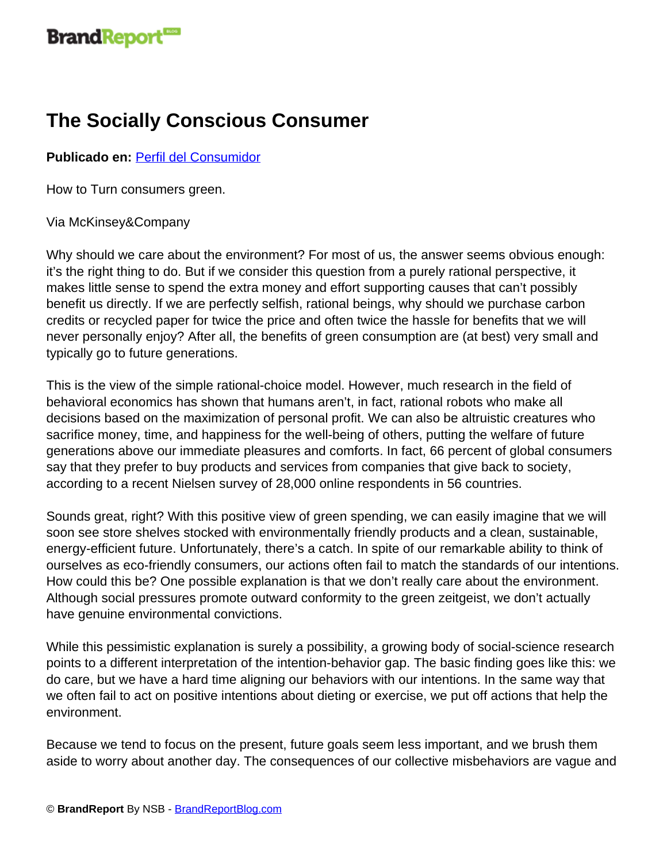## **The Socially Conscious Consumer**

## **Publicado en:** [Perfil del Consumidor](http://www.brandreportblog.com/articulos/perfil-del-consumidor/)

How to Turn consumers green.

## Via McKinsey&Company

Why should we care about the environment? For most of us, the answer seems obvious enough: it's the right thing to do. But if we consider this question from a purely rational perspective, it makes little sense to spend the extra money and effort supporting causes that can't possibly benefit us directly. If we are perfectly selfish, rational beings, why should we purchase carbon credits or recycled paper for twice the price and often twice the hassle for benefits that we will never personally enjoy? After all, the benefits of green consumption are (at best) very small and typically go to future generations.

This is the view of the simple rational-choice model. However, much research in the field of behavioral economics has shown that humans aren't, in fact, rational robots who make all decisions based on the maximization of personal profit. We can also be altruistic creatures who sacrifice money, time, and happiness for the well-being of others, putting the welfare of future generations above our immediate pleasures and comforts. In fact, 66 percent of global consumers say that they prefer to buy products and services from companies that give back to society, according to a recent Nielsen survey of 28,000 online respondents in 56 countries.

Sounds great, right? With this positive view of green spending, we can easily imagine that we will soon see store shelves stocked with environmentally friendly products and a clean, sustainable, energy-efficient future. Unfortunately, there's a catch. In spite of our remarkable ability to think of ourselves as eco-friendly consumers, our actions often fail to match the standards of our intentions. How could this be? One possible explanation is that we don't really care about the environment. Although social pressures promote outward conformity to the green zeitgeist, we don't actually have genuine environmental convictions.

While this pessimistic explanation is surely a possibility, a growing body of social-science research points to a different interpretation of the intention-behavior gap. The basic finding goes like this: we do care, but we have a hard time aligning our behaviors with our intentions. In the same way that we often fail to act on positive intentions about dieting or exercise, we put off actions that help the environment.

Because we tend to focus on the present, future goals seem less important, and we brush them aside to worry about another day. The consequences of our collective misbehaviors are vague and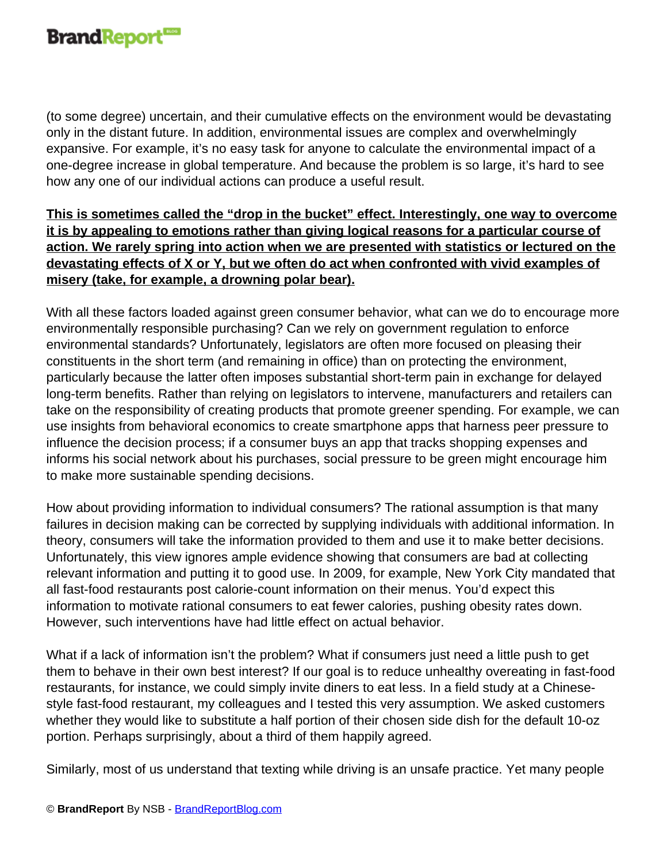

(to some degree) uncertain, and their cumulative effects on the environment would be devastating only in the distant future. In addition, environmental issues are complex and overwhelmingly expansive. For example, it's no easy task for anyone to calculate the environmental impact of a one-degree increase in global temperature. And because the problem is so large, it's hard to see how any one of our individual actions can produce a useful result.

**This is sometimes called the "drop in the bucket" effect. Interestingly, one way to overcome it is by appealing to emotions rather than giving logical reasons for a particular course of action. We rarely spring into action when we are presented with statistics or lectured on the devastating effects of X or Y, but we often do act when confronted with vivid examples of misery (take, for example, a drowning polar bear).**

With all these factors loaded against green consumer behavior, what can we do to encourage more environmentally responsible purchasing? Can we rely on government regulation to enforce environmental standards? Unfortunately, legislators are often more focused on pleasing their constituents in the short term (and remaining in office) than on protecting the environment, particularly because the latter often imposes substantial short-term pain in exchange for delayed long-term benefits. Rather than relying on legislators to intervene, manufacturers and retailers can take on the responsibility of creating products that promote greener spending. For example, we can use insights from behavioral economics to create smartphone apps that harness peer pressure to influence the decision process; if a consumer buys an app that tracks shopping expenses and informs his social network about his purchases, social pressure to be green might encourage him to make more sustainable spending decisions.

How about providing information to individual consumers? The rational assumption is that many failures in decision making can be corrected by supplying individuals with additional information. In theory, consumers will take the information provided to them and use it to make better decisions. Unfortunately, this view ignores ample evidence showing that consumers are bad at collecting relevant information and putting it to good use. In 2009, for example, New York City mandated that all fast-food restaurants post calorie-count information on their menus. You'd expect this information to motivate rational consumers to eat fewer calories, pushing obesity rates down. However, such interventions have had little effect on actual behavior.

What if a lack of information isn't the problem? What if consumers just need a little push to get them to behave in their own best interest? If our goal is to reduce unhealthy overeating in fast-food restaurants, for instance, we could simply invite diners to eat less. In a field study at a Chinesestyle fast-food restaurant, my colleagues and I tested this very assumption. We asked customers whether they would like to substitute a half portion of their chosen side dish for the default 10-oz portion. Perhaps surprisingly, about a third of them happily agreed.

Similarly, most of us understand that texting while driving is an unsafe practice. Yet many people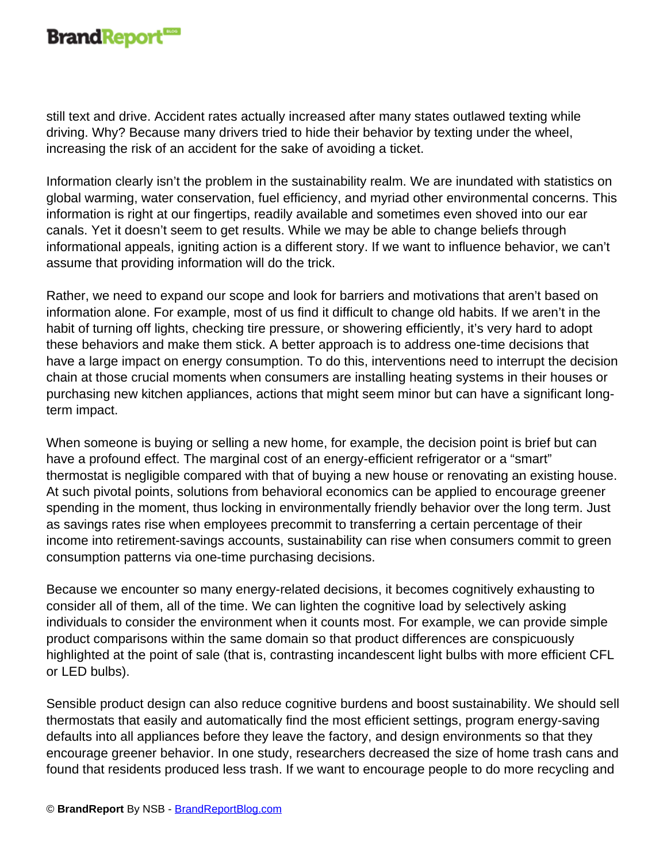## **Brand Report**

still text and drive. Accident rates actually increased after many states outlawed texting while driving. Why? Because many drivers tried to hide their behavior by texting under the wheel, increasing the risk of an accident for the sake of avoiding a ticket.

Information clearly isn't the problem in the sustainability realm. We are inundated with statistics on global warming, water conservation, fuel efficiency, and myriad other environmental concerns. This information is right at our fingertips, readily available and sometimes even shoved into our ear canals. Yet it doesn't seem to get results. While we may be able to change beliefs through informational appeals, igniting action is a different story. If we want to influence behavior, we can't assume that providing information will do the trick.

Rather, we need to expand our scope and look for barriers and motivations that aren't based on information alone. For example, most of us find it difficult to change old habits. If we aren't in the habit of turning off lights, checking tire pressure, or showering efficiently, it's very hard to adopt these behaviors and make them stick. A better approach is to address one-time decisions that have a large impact on energy consumption. To do this, interventions need to interrupt the decision chain at those crucial moments when consumers are installing heating systems in their houses or purchasing new kitchen appliances, actions that might seem minor but can have a significant longterm impact.

When someone is buying or selling a new home, for example, the decision point is brief but can have a profound effect. The marginal cost of an energy-efficient refrigerator or a "smart" thermostat is negligible compared with that of buying a new house or renovating an existing house. At such pivotal points, solutions from behavioral economics can be applied to encourage greener spending in the moment, thus locking in environmentally friendly behavior over the long term. Just as savings rates rise when employees precommit to transferring a certain percentage of their income into retirement-savings accounts, sustainability can rise when consumers commit to green consumption patterns via one-time purchasing decisions.

Because we encounter so many energy-related decisions, it becomes cognitively exhausting to consider all of them, all of the time. We can lighten the cognitive load by selectively asking individuals to consider the environment when it counts most. For example, we can provide simple product comparisons within the same domain so that product differences are conspicuously highlighted at the point of sale (that is, contrasting incandescent light bulbs with more efficient CFL or LED bulbs).

Sensible product design can also reduce cognitive burdens and boost sustainability. We should sell thermostats that easily and automatically find the most efficient settings, program energy-saving defaults into all appliances before they leave the factory, and design environments so that they encourage greener behavior. In one study, researchers decreased the size of home trash cans and found that residents produced less trash. If we want to encourage people to do more recycling and